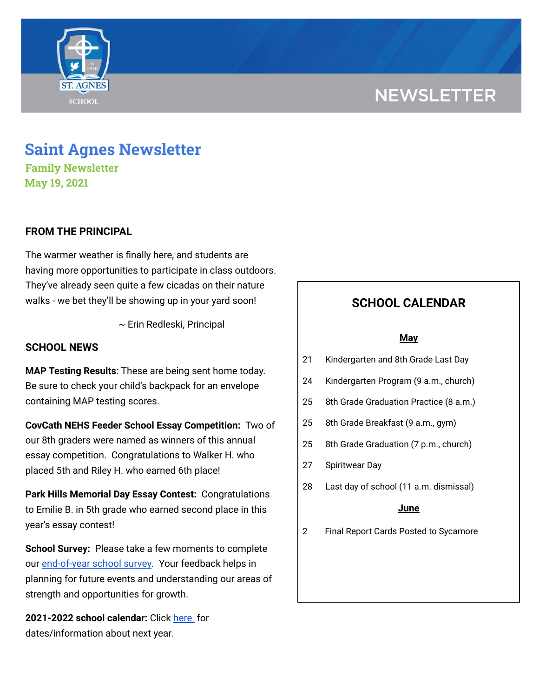# **NEWSLETTER**



# **Saint Agnes Newsletter**

**Family Newsletter May 19, 2021**

### **FROM THE PRINCIPAL**

The warmer weather is finally here, and students are having more opportunities to participate in class outdoors. They've already seen quite a few cicadas on their nature walks - we bet they'll be showing up in your yard soon!

~ Erin Redleski, Principal

### **SCHOOL NEWS**

**MAP Testing Results**: These are being sent home today. Be sure to check your child's backpack for an envelope containing MAP testing scores.

**CovCath NEHS Feeder School Essay Competition:** Two of our 8th graders were named as winners of this annual essay competition. Congratulations to Walker H. who placed 5th and Riley H. who earned 6th place!

**Park Hills Memorial Day Essay Contest:** Congratulations to Emilie B. in 5th grade who earned second place in this year's essay contest!

**School Survey:** Please take a few moments to complete our [end-of-year](https://www.surveymonkey.com/r/StAParentSurvey0520) school survey. Your feedback helps in planning for future events and understanding our areas of strength and opportunities for growth.

**2021-2022 school calendar:** Click [here](https://school.saintagnes.com/wp-content/uploads/2021/02/2021-2022-School-Calendar-Parents.pdf) for dates/information about next year.

## **SCHOOL CALENDAR**

#### **May**

- 21 Kindergarten and 8th Grade Last Day
- 24 Kindergarten Program (9 a.m., church)
- 25 8th Grade Graduation Practice (8 a.m.)
- 25 8th Grade Breakfast (9 a.m., gym)
- 25 8th Grade Graduation (7 p.m., church)
- 27 Spiritwear Day
- 28 Last day of school (11 a.m. dismissal)

#### **June**

2 Final Report Cards Posted to Sycamore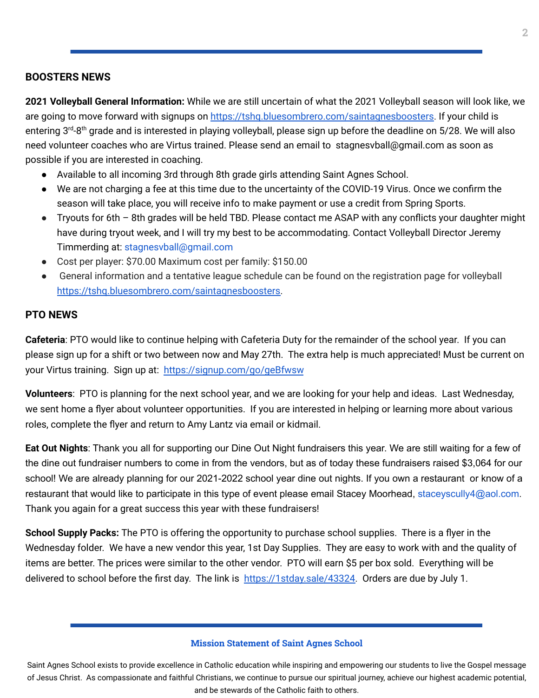#### **BOOSTERS NEWS**

**2021 Volleyball General Information:** While we are still uncertain of what the 2021 Volleyball season will look like, we are going to move forward with signups on <https://tshq.bluesombrero.com/saintagnesboosters>. If your child is entering 3<sup>rd</sup>-8<sup>th</sup> grade and is interested in playing volleyball, please sign up before the deadline on 5/28. We will also need volunteer coaches who are Virtus trained. Please send an email to stagnesvball@gmail.com as soon as possible if you are interested in coaching.

- Available to all incoming 3rd through 8th grade girls attending Saint Agnes School.
- We are not charging a fee at this time due to the uncertainty of the COVID-19 Virus. Once we confirm the season will take place, you will receive info to make payment or use a credit from Spring Sports.
- Tryouts for 6th 8th grades will be held TBD. Please contact me ASAP with any conflicts your daughter might have during tryout week, and I will try my best to be accommodating. Contact Volleyball Director Jeremy Timmerding at: stagnesvball@gmail.com
- Cost per player: \$70.00 Maximum cost per family: \$150.00
- General information and a tentative league schedule can be found on the registration page for volleyball [https://tshq.bluesombrero.com/saintagnesboosters.](https://tshq.bluesombrero.com/saintagnesboosters)

#### **PTO NEWS**

**Cafeteria**: PTO would like to continue helping with Cafeteria Duty for the remainder of the school year. If you can please sign up for a shift or two between now and May 27th. The extra help is much appreciated! Must be current on your Virtus training. Sign up at: <https://signup.com/go/geBfwsw>

**Volunteers**: PTO is planning for the next school year, and we are looking for your help and ideas. Last Wednesday, we sent home a flyer about volunteer opportunities. If you are interested in helping or learning more about various roles, complete the flyer and return to Amy Lantz via email or kidmail.

**Eat Out Nights**: Thank you all for supporting our Dine Out Night fundraisers this year. We are still waiting for a few of the dine out fundraiser numbers to come in from the vendors, but as of today these fundraisers raised \$3,064 for our school! We are already planning for our 2021-2022 school year dine out nights. If you own a restaurant or know of a restaurant that would like to participate in this type of event please email Stacey Moorhead, staceyscully4@aol.com. Thank you again for a great success this year with these fundraisers!

**School Supply Packs:** The PTO is offering the opportunity to purchase school supplies. There is a flyer in the Wednesday folder. We have a new vendor this year, 1st Day Supplies. They are easy to work with and the quality of items are better. The prices were similar to the other vendor. PTO will earn \$5 per box sold. Everything will be delivered to school before the first day. The link is [https://1stday.sale/43324.](https://1stday.sale/43324) Orders are due by July 1.

#### **Mission Statement of Saint Agnes School**

Saint Agnes School exists to provide excellence in Catholic education while inspiring and empowering our students to live the Gospel message of Jesus Christ. As compassionate and faithful Christians, we continue to pursue our spiritual journey, achieve our highest academic potential, and be stewards of the Catholic faith to others.